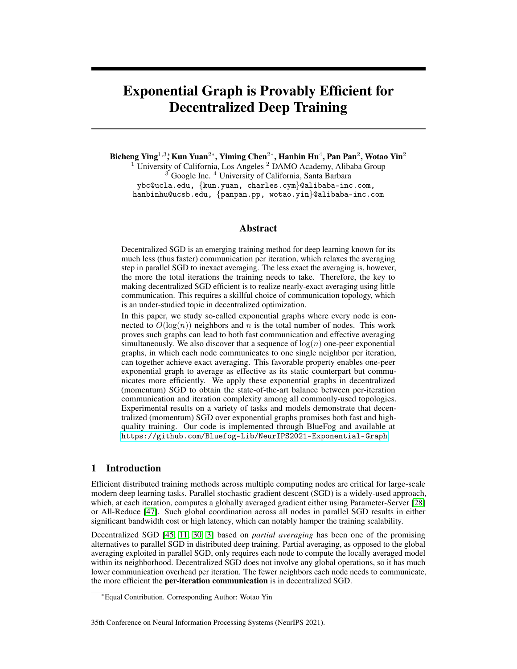# Exponential Graph is Provably Efficient for Decentralized Deep Training

Bicheng Ying $^{1,3}$ ; Kun Yuan $^{2*}$ , Yiming Chen $^{2*}$ , Hanbin Hu $^{4}$ , Pan Pan $^{2}$ , Wotao Yin $^{2}$  $1$  University of California, Los Angeles  $2$  DAMO Academy, Alibaba Group <sup>3</sup> Google Inc. <sup>4</sup> University of California, Santa Barbara ybc@ucla.edu, {kun.yuan, charles.cym}@alibaba-inc.com,

hanbinhu@ucsb.edu, {panpan.pp, wotao.yin}@alibaba-inc.com

### Abstract

Decentralized SGD is an emerging training method for deep learning known for its much less (thus faster) communication per iteration, which relaxes the averaging step in parallel SGD to inexact averaging. The less exact the averaging is, however, the more the total iterations the training needs to take. Therefore, the key to making decentralized SGD efficient is to realize nearly-exact averaging using little communication. This requires a skillful choice of communication topology, which is an under-studied topic in decentralized optimization.

In this paper, we study so-called exponential graphs where every node is connected to  $O(\log(n))$  neighbors and n is the total number of nodes. This work proves such graphs can lead to both fast communication and effective averaging simultaneously. We also discover that a sequence of  $log(n)$  one-peer exponential graphs, in which each node communicates to one single neighbor per iteration, can together achieve exact averaging. This favorable property enables one-peer exponential graph to average as effective as its static counterpart but communicates more efficiently. We apply these exponential graphs in decentralized (momentum) SGD to obtain the state-of-the-art balance between per-iteration communication and iteration complexity among all commonly-used topologies. Experimental results on a variety of tasks and models demonstrate that decentralized (momentum) SGD over exponential graphs promises both fast and highquality training. Our code is implemented through BlueFog and available at <https://github.com/Bluefog-Lib/NeurIPS2021-Exponential-Graph>.

### 1 Introduction

Efficient distributed training methods across multiple computing nodes are critical for large-scale modern deep learning tasks. Parallel stochastic gradient descent (SGD) is a widely-used approach, which, at each iteration, computes a globally averaged gradient either using Parameter-Server [28] or All-Reduce [47]. Such global coordination across all nodes in parallel SGD results in either significant bandwidth cost or high latency, which can notably hamper the training scalability.

Decentralized SGD [45, 11, 30, 3] based on *partial averaging* has been one of the promising alternatives to parallel SGD in distributed deep training. Partial averaging, as opposed to the global averaging exploited in parallel SGD, only requires each node to compute the locally averaged model within its neighborhood. Decentralized SGD does not involve any global operations, so it has much lower communication overhead per iteration. The fewer neighbors each node needs to communicate, the more efficient the per-iteration communication is in decentralized SGD.

#### 35th Conference on Neural Information Processing Systems (NeurIPS 2021).

<sup>∗</sup>Equal Contribution. Corresponding Author: Wotao Yin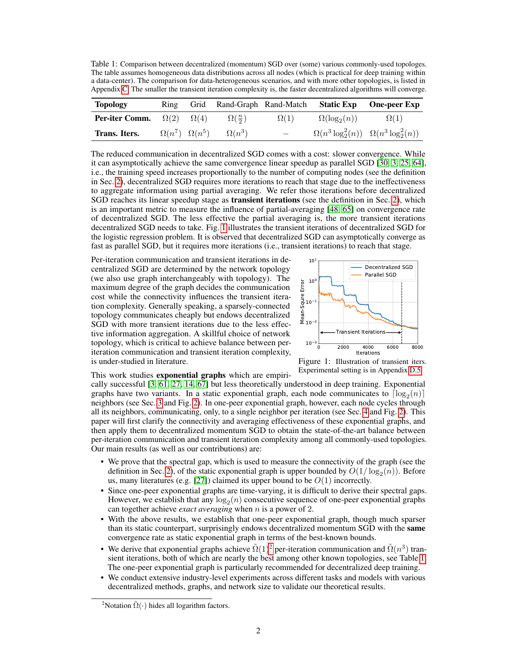Table 1: Comparison between decentralized (momentum) SGD over (some) various commonly-used topologes. The table assumes homogeneous data distributions across all nodes (which is practical for deep training within a data-center). The comparison for data-heterogeneous scenarios, and with more other topologies, is listed in Appendix C. The smaller the transient iteration complexity is, the faster decentralized algorithms will converge.

| <b>Topology</b>                               | Ring |                             | Grid Rand-Graph Rand-Match |                          | <b>Static Exp</b>                                   | <b>One-peer Exp</b> |
|-----------------------------------------------|------|-----------------------------|----------------------------|--------------------------|-----------------------------------------------------|---------------------|
| <b>Per-iter Comm.</b> $\Omega(2)$ $\Omega(4)$ |      |                             | $\Omega(\frac{n}{2})$      | $\Omega(1)$              | $\Omega(\log_2(n))$                                 | $\Omega(1)$         |
| Trans. Iters.                                 |      | $\Omega(n^7)$ $\Omega(n^5)$ | $\Omega(n^3)$              | $\overline{\phantom{0}}$ | $\Omega(n^3 \log_2^2(n))$ $\Omega(n^3 \log_2^2(n))$ |                     |

The reduced communication in decentralized SGD comes with a cost: slower convergence. While it can asymptotically achieve the same convergence linear speedup as parallel SGD [30, 3, 25, 64], i.e., the training speed increases proportionally to the number of computing nodes (see the definition in Sec. 2), decentralized SGD requires more iterations to reach that stage due to the ineffectiveness to aggregate information using partial averaging. We refer those iterations before decentralized SGD reaches its linear speedup stage as **transient iterations** (see the definition in Sec. 2), which is an important metric to measure the influence of partial-averaging [48, 65] on convergence rate of decentralized SGD. The less effective the partial averaging is, the more transient iterations decentralized SGD needs to take. Fig. 1 illustrates the transient iterations of decentralized SGD for the logistic regression problem. It is observed that decentralized SGD can asymptotically converge as fast as parallel SGD, but it requires more iterations (i.e., transient iterations) to reach that stage.

Per-iteration communication and transient iterations in decentralized SGD are determined by the network topology (we also use graph interchangeably with topology). The maximum degree of the graph decides the communication cost while the connectivity influences the transient iteration complexity. Generally speaking, a sparsely-connected topology communicates cheaply but endows decentralized SGD with more transient iterations due to the less effective information aggregation. A skillful choice of network topology, which is critical to achieve balance between periteration communication and transient iteration complexity, is under-studied in literature.



Figure 1: Illustration of transient iters. Experimental setting is in Appendix D.5.

### This work studies exponential graphs which are empiri-

cally successful [3, 61, 27, 14, 67] but less theoretically understood in deep training. Exponential graphs have two variants. In a static exponential graph, each node communicates to  $\lceil \log_2(n) \rceil$ neighbors (see Sec. 3 and Fig. 2). In one-peer exponential graph, however, each node cycles through all its neighbors, communicating, only, to a single neighbor per iteration (see Sec. 4 and Fig. 2). This paper will first clarify the connectivity and averaging effectiveness of these exponential graphs, and then apply them to decentralized momentum SGD to obtain the state-of-the-art balance between per-iteration communication and transient iteration complexity among all commonly-used topologies. Our main results (as well as our contributions) are:

- We prove that the spectral gap, which is used to measure the connectivity of the graph (see the definition in Sec. 2), of the static exponential graph is upper bounded by  $O(1/\log_2(n))$ . Before us, many literatures (e.g. [27]) claimed its upper bound to be  $O(1)$  incorrectly.
- Since one-peer exponential graphs are time-varying, it is difficult to derive their spectral gaps. However, we establish that any  $\log_2(n)$  consecutive sequence of one-peer exponential graphs can together achieve *exact averaging* when n is a power of 2.
- With the above results, we establish that one-peer exponential graph, though much sparser than its static counterpart, surprisingly endows decentralized momentum SGD with the same convergence rate as static exponential graph in terms of the best-known bounds.
- We derive that exponential graphs achieve  $\tilde{\Omega}(1)^2$  per-iteration communication and  $\tilde{\Omega}(n^3)$  transient iterations, both of which are nearly the best among other known topologies, see Table 1. The one-peer exponential graph is particularly recommended for decentralized deep training.
- We conduct extensive industry-level experiments across different tasks and models with various decentralized methods, graphs, and network size to validate our theoretical results.

<sup>&</sup>lt;sup>2</sup>Notation  $\tilde{\Omega}(\cdot)$  hides all logarithm factors.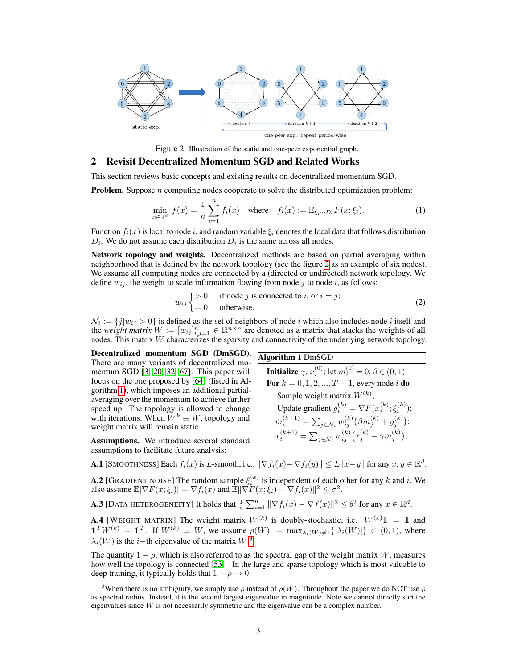

Figure 2: Illustration of the static and one-peer exponential graph.

### 2 Revisit Decentralized Momentum SGD and Related Works

This section reviews basic concepts and existing results on decentralized momentum SGD.

**Problem.** Suppose  $n$  computing nodes cooperate to solve the distributed optimization problem:

$$
\min_{x \in \mathbb{R}^d} f(x) = \frac{1}{n} \sum_{i=1}^n f_i(x) \quad \text{where} \quad f_i(x) := \mathbb{E}_{\xi_i \sim D_i} F(x; \xi_i). \tag{1}
$$

Function  $f_i(x)$  is local to node i, and random variable  $\xi_i$  denotes the local data that follows distribution  $D_i$ . We do not assume each distribution  $D_i$  is the same across all nodes.

Network topology and weights. Decentralized methods are based on partial averaging within neighborhood that is defined by the network topology (see the figure 2 as an example of six nodes). We assume all computing nodes are connected by a (directed or undirected) network topology. We define  $w_{ij}$ , the weight to scale information flowing from node j to node i, as follows:

$$
w_{ij} \begin{cases} > 0 & \text{if node } j \text{ is connected to } i, \text{ or } i = j; \\ = 0 & \text{otherwise.} \end{cases}
$$
 (2)

Algorithm 1 DmSGD

 $\mathcal{N}_i := \{j | w_{ij} > 0\}$  is defined as the set of neighbors of node i which also includes node i itself and the *weight matrix*  $W := [w_{ij}]_{i,j=1}^n \in \mathbb{R}^{n \times n}$  are denoted as a matrix that stacks the weights of all nodes. This matrix W characterizes the sparsity and connectivity of the underlying network topology.

Decentralized momentum SGD (DmSGD). There are many variants of decentralized momentum SGD [3, 20, 32, 67]. This paper will focus on the one proposed by [64] (listed in Algorithm 1), which imposes an additional partialaveraging over the momentum to achieve further speed up. The topology is allowed to change with iterations. When  $W^k \equiv W$ , topology and weight matrix will remain static.

Assumptions. We introduce several standard assumptions to facilitate future analysis:

**Initialize**  $\gamma$ ,  $x_i^{(0)}$ ; let  $m_i^{(0)} = 0, \beta \in (0,1)$ **For**  $k = 0, 1, 2, ..., T - 1$ , every node i **do** Sample weight matrix  $W^{(k)}$ ; Update gradient  $g_i^{(k)} = \nabla F(x_i^{(k)}; \xi_i^{(k)})$ ;  $m_i^{(k+1)} = \sum_{j \in \mathcal{N}_i} w_{ij}^{(k)} \big( \beta m_j^{(k)} + g_j^{(k)} \big);$  $x_i^{(k+1)} = \sum_{j \in \mathcal{N}_i} w_{ij}^{(k)} \big( x_j^{(k)} - \gamma m_j^{(k)} \big);$ 

**A.1** [SMOOTHNESS] Each  $f_i(x)$  is L-smooth, i.e.,  $\|\nabla f_i(x) - \nabla f_i(y)\| \le L\|x - y\|$  for any  $x, y \in \mathbb{R}^d$ .

**A.2** [GRADIENT NOISE] The random sample  $\xi_i^{(k)}$  is independent of each other for any k and i. We also assume  $\mathbb{E}[\nabla F(x; \xi_i)] = \nabla f_i(x)$  and  $\mathbb{E} \|\nabla F(x; \xi_i) - \nabla f_i(x)\|^2 \leq \sigma^2$ .

**A.3** [DATA HETEROGENEITY] It holds that  $\frac{1}{n}\sum_{i=1}^n \|\nabla f_i(x) - \nabla f(x)\|^2 \leq b^2$  for any  $x \in \mathbb{R}^d$ .

**A.4** [WEIGHT MATRIX] The weight matrix  $W^{(k)}$  is doubly-stochastic, i.e.  $W^{(k)}1 = 1$  and  $\mathbb{1}^T W^{(k)} = \mathbb{1}^T$ . If  $W^{(k)} \equiv W$ , we assume  $\rho(W) := \max_{\lambda_i(W) \neq 1} \{|\lambda_i(W)|\} \in (0,1)$ , where  $\lambda_i(W)$  is the *i*−th eigenvalue of the matrix W.<sup>3</sup>

The quantity  $1 - \rho$ , which is also referred to as the spectral gap of the weight matrix W, measures how well the topology is connected [53]. In the large and sparse topology which is most valuable to deep training, it typically holds that  $1 - \rho \rightarrow 0$ .

<sup>&</sup>lt;sup>3</sup>When there is no ambiguity, we simply use  $\rho$  instead of  $\rho(W)$ . Throughout the paper we do NOT use  $\rho$ as spectral radius. Instead, it is the second largest eigenvalue in magnitude. Note we cannot directly sort the eigenvalues since W is not necessarily symmetric and the eigenvalue can be a complex number.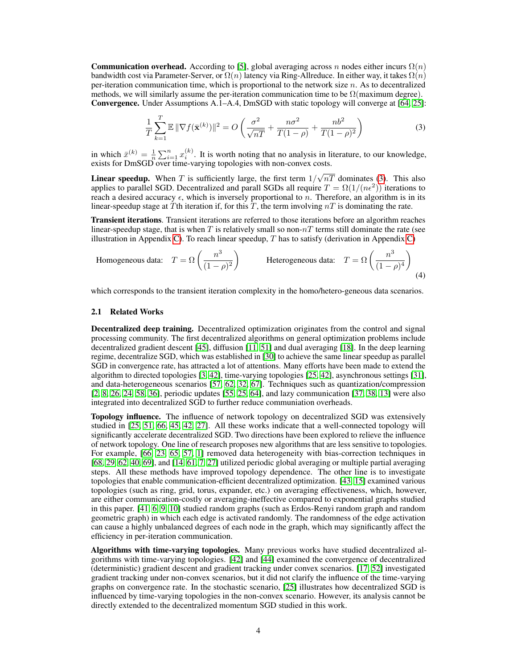**Communication overhead.** According to [5], global averaging across n nodes either incurs  $\Omega(n)$ bandwidth cost via Parameter-Server, or  $\Omega(n)$  latency via Ring-Allreduce. In either way, it takes  $\Omega(n)$ per-iteration communication time, which is proportional to the network size  $n$ . As to decentralized methods, we will similarly assume the per-iteration communication time to be  $\Omega$ (maximum degree). Convergence. Under Assumptions A.1–A.4, DmSGD with static topology will converge at [64, 25]:

$$
\frac{1}{T}\sum_{k=1}^{T}\mathbb{E}\|\nabla f(\bar{\mathbf{x}}^{(k)})\|^2 = O\left(\frac{\sigma^2}{\sqrt{nT}} + \frac{n\sigma^2}{T(1-\rho)} + \frac{nb^2}{T(1-\rho)^2}\right)
$$
(3)

in which  $\bar{x}^{(k)} = \frac{1}{n} \sum_{i=1}^{n} x_i^{(k)}$ . It is worth noting that no analysis in literature, to our knowledge, exists for DmSGD over time-varying topologies with non-convex costs.

**Linear speedup.** When T is sufficiently large, the first term  $1/$ √  $nT$  dominates (3). This also applies to parallel SGD. Decentralized and parall SGDs all require  $T = \Omega(1/(n\epsilon^2))$  iterations to reach a desired accuracy  $\epsilon$ , which is inversely proportional to n. Therefore, an algorithm is in its linear-speedup stage at T<sup>th</sup> iteration if, for this T, the term involving  $nT$  is dominating the rate.

Transient iterations. Transient iterations are referred to those iterations before an algorithm reaches linear-speedup stage, that is when T is relatively small so non- $nT$  terms still dominate the rate (see illustration in Appendix C). To reach linear speedup,  $T$  has to satisfy (derivation in Appendix C)

Homogeneous data: 
$$
T = \Omega\left(\frac{n^3}{(1-\rho)^2}\right)
$$
 Heterogeneous data:  $T = \Omega\left(\frac{n^3}{(1-\rho)^4}\right)$  (4)

which corresponds to the transient iteration complexity in the homo/hetero-geneous data scenarios.

### 2.1 Related Works

Decentralized deep training. Decentralized optimization originates from the control and signal processing community. The first decentralized algorithms on general optimization problems include decentralized gradient descent [45], diffusion [11, 51] and dual averaging [18]. In the deep learning regime, decentralize SGD, which was established in [30] to achieve the same linear speedup as parallel SGD in convergence rate, has attracted a lot of attentions. Many efforts have been made to extend the algorithm to directed topologies [3, 42], time-varying topologies [25, 42], asynchronous settings [31], and data-heterogeneous scenarios [57, 62, 32, 67]. Techniques such as quantization/compression [2, 8, 26, 24, 58, 36], periodic updates [55, 25, 64], and lazy communication [37, 38, 13] were also integrated into decentralized SGD to further reduce communiation overheads.

Topology influence. The influence of network topology on decentralized SGD was extensively studied in [25, 51, 66, 45, 42, 27]. All these works indicate that a well-connected topology will significantly accelerate decentralized SGD. Two directions have been explored to relieve the influence of network topology. One line of research proposes new algorithms that are less sensitive to topologies. For example, [66, 23, 65, 57, 1] removed data heterogeneity with bias-correction techniques in [68, 29, 62, 40, 69], and [14, 61, 7, 27] utilized periodic global averaging or multiple partial averaging steps. All these methods have improved topology dependence. The other line is to investigate topologies that enable communication-efficient decentralized optimization. [43, 15] examined various topologies (such as ring, grid, torus, expander, etc.) on averaging effectiveness, which, however, are either communication-costly or averaging-ineffective compared to exponential graphs studied in this paper. [41, 6, 9, 10] studied random graphs (such as Erdos-Renyi random graph and random geometric graph) in which each edge is activated randomly. The randomness of the edge activation can cause a highly unbalanced degrees of each node in the graph, which may significantly affect the efficiency in per-iteration communication.

Algorithms with time-varying topologies. Many previous works have studied decentralized algorithms with time-varying topologies. [42] and [44] examined the convergence of decentralized (deterministic) gradient descent and gradient tracking under convex scenarios. [17, 52] investigated gradient tracking under non-convex scenarios, but it did not clarify the influence of the time-varying graphs on convergence rate. In the stochastic scenario, [25] illustrates how decentralized SGD is influenced by time-varying topologies in the non-convex scenario. However, its analysis cannot be directly extended to the decentralized momentum SGD studied in this work.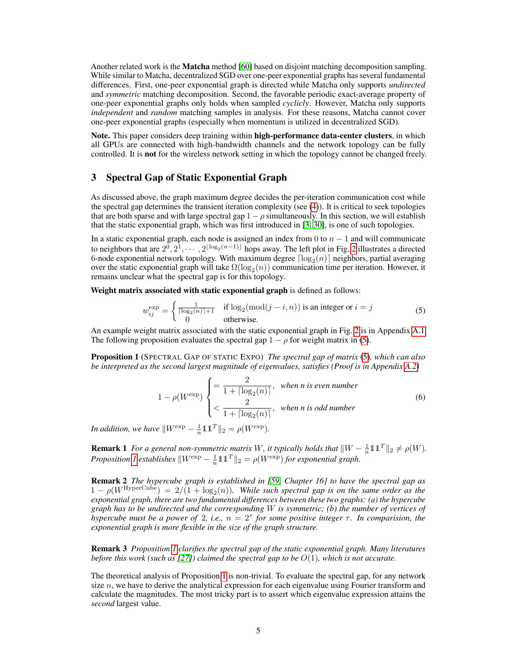Another related work is the **Matcha** method [60] based on disjoint matching decomposition sampling. While similar to Matcha, decentralized SGD over one-peer exponential graphs has several fundamental differences. First, one-peer exponential graph is directed while Matcha only supports *undirected* and *symmetric* matching decomposition. Second, the favorable periodic exact-average property of one-peer exponential graphs only holds when sampled *cyclicly*. However, Matcha only supports *independent* and *random* matching samples in analysis. For these reasons, Matcha cannot cover one-peer exponential graphs (especially when momentum is utilized in decentralized SGD).

Note. This paper considers deep training within high-performance data-center clusters, in which all GPUs are connected with high-bandwidth channels and the network topology can be fully controlled. It is not for the wireless network setting in which the topology cannot be changed freely.

### 3 Spectral Gap of Static Exponential Graph

As discussed above, the graph maximum degree decides the per-iteration communication cost while the spectral gap determines the transient iteration complexity (see (4)). It is critical to seek topologies that are both sparse and with large spectral gap  $1-\rho$  simultaneously. In this section, we will establish that the static exponential graph, which was first introduced in [3, 30], is one of such topologies.

In a static exponential graph, each node is assigned an index from 0 to  $n - 1$  and will communicate to neighbors that are  $2^0, 2^1, \cdots, 2^{\lfloor \log_2(n-1) \rfloor}$  hops away. The left plot in Fig. 2 illustrates a directed 6-node exponential network topology. With maximum degree  $\lceil \log_2(n) \rceil$  neighbors, partial averaging over the static exponential graph will take  $\Omega(\log_2(n))$  communication time per iteration. However, it remains unclear what the spectral gap is for this topology.

Weight matrix associated with static exponential graph is defined as follows:

$$
w_{ij}^{\exp} = \begin{cases} \frac{1}{\lceil \log_2(n) \rceil + 1} & \text{if } \log_2(\text{mod}(j - i, n)) \text{ is an integer or } i = j\\ 0 & \text{otherwise.} \end{cases}
$$
(5)

An example weight matrix associated with the static exponential graph in Fig. 2 is in Appendix A.1. The following proposition evaluates the spectral gap  $1 - \rho$  for weight matrix in (5).

Proposition 1 (SPECTRAL GAP OF STATIC EXPO) *The spectral gap of matrix* (5)*, which can also be interpreted as the second largest magnitude of eigenvalues, satisfies (Proof is in Appendix A.2)*

$$
1 - \rho(W^{\exp}) \begin{cases} = \frac{2}{1 + \lceil \log_2(n) \rceil}, & \text{when } n \text{ is even number} \\ < \frac{2}{1 + \lceil \log_2(n) \rceil}, & \text{when } n \text{ is odd number} \end{cases}
$$
(6)

*In addition, we have*  $\|W^{\text{exp}} - \frac{1}{n}11^T\|_2 = \rho(W^{\text{exp}})$ *.* 

**Remark 1** *For a general non-symmetric matrix W*, *it typically holds that*  $\|W - \frac{1}{n}11^T\|_2 \neq \rho(W)$ *. Proposition 1* establishes  $\|W^{\text{exp}} - \frac{1}{n}11^T\|_2 = \rho(W^{\text{exp}})$  *for exponential graph.* 

Remark 2 *The hypercube graph is established in [59, Chapter 16] to have the spectral gap as*  $1 - \rho(W^{\text{HyperCube}}) = 2/(1 + \log_2(n))$ . While such spectral gap is on the same order as the *exponential graph, there are two fundamental differences between these two graphs: (a) the hypercube graph has to be undirected and the corresponding* W *is symmetric; (b) the number of vertices of hypercube must be a power of 2, i.e.,*  $n = 2^{\tau}$  *for some positive integer*  $\tau$ *. In comparision, the exponential graph is more flexible in the size of the graph structure.*

Remark 3 *Proposition 1 clarifies the spectral gap of the static exponential graph. Many literatures before this work (such as [27]) claimed the spectral gap to be* O(1)*, which is not accurate.*

The theoretical analysis of Proposition 1 is non-trivial. To evaluate the spectral gap, for any network size  $n$ , we have to derive the analytical expression for each eigenvalue using Fourier transform and calculate the magnitudes. The most tricky part is to assert which eigenvalue expression attains the *second* largest value.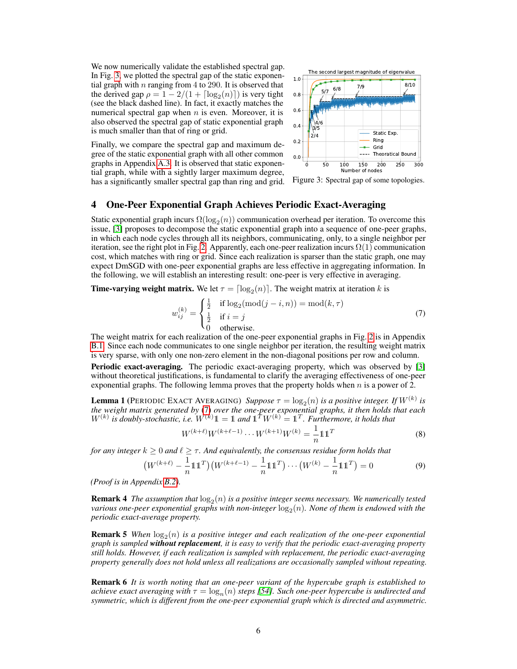We now numerically validate the established spectral gap. In Fig. 3, we plotted the spectral gap of the static exponential graph with n ranging from 4 to 290. It is observed that the derived gap  $\rho = 1 - 2/(1 + \lceil \log_2(n) \rceil)$  is very tight (see the black dashed line). In fact, it exactly matches the numerical spectral gap when  $n$  is even. Moreover, it is also observed the spectral gap of static exponential graph is much smaller than that of ring or grid.

Finally, we compare the spectral gap and maximum degree of the static exponential graph with all other common graphs in Appendix A.3. It is observed that static exponential graph, while with a sightly larger maximum degree, has a significantly smaller spectral gap than ring and grid.



Figure 3: Spectral gap of some topologies.

## 4 One-Peer Exponential Graph Achieves Periodic Exact-Averaging

Static exponential graph incurs  $\Omega(\log_2(n))$  communication overhead per iteration. To overcome this issue, [3] proposes to decompose the static exponential graph into a sequence of one-peer graphs, in which each node cycles through all its neighbors, communicating, only, to a single neighbor per iteration, see the right plot in Fig. 2. Apparently, each one-peer realization incurs  $\Omega(1)$  communication cost, which matches with ring or grid. Since each realization is sparser than the static graph, one may expect DmSGD with one-peer exponential graphs are less effective in aggregating information. In the following, we will establish an interesting result: one-peer is very effective in averaging.

**Time-varying weight matrix.** We let  $\tau = \lfloor \log_2(n) \rfloor$ . The weight matrix at iteration k is

$$
w_{ij}^{(k)} = \begin{cases} \frac{1}{2} & \text{if } \log_2(\text{mod}(j - i, n)) = \text{mod}(k, \tau) \\ \frac{1}{2} & \text{if } i = j \\ 0 & \text{otherwise.} \end{cases}
$$
(7)

The weight matrix for each realization of the one-peer exponential graphs in Fig. 2 is in Appendix B.1. Since each node communicates to one single neighbor per iteration, the resulting weight matrix is very sparse, with only one non-zero element in the non-diagonal positions per row and column.

Periodic exact-averaging. The periodic exact-averaging property, which was observed by [3] without theoretical justifications, is fundamental to clarify the averaging effectiveness of one-peer exponential graphs. The following lemma proves that the property holds when  $n$  is a power of 2.

**Lemma 1** (PERIODIC EXACT AVERAGING) *Suppose*  $\tau = \log_2(n)$  *is a positive integer. If*  $W^{(k)}$  *is the weight matrix generated by* (7) *over the one-peer exponential graphs, it then holds that each*  $W^{(k)}$  is doubly-stochastic, i.e.  $W^{(k)} 1 = 1$  and  $1^T W^{(k)} = 1^T$ . Furthermore, it holds that

$$
W^{(k+\ell)}W^{(k+\ell-1)}\cdots W^{(k+1)}W^{(k)} = \frac{1}{n}\mathbb{1}\mathbb{1}^T
$$
\n(8)

*for any integer*  $k \geq 0$  *and*  $\ell \geq \tau$ *. And equivalently, the consensus residue form holds that* 

$$
\left(W^{(k+\ell)} - \frac{1}{n}11^{T}\right)\left(W^{(k+\ell-1)} - \frac{1}{n}11^{T}\right)\cdots\left(W^{(k)} - \frac{1}{n}11^{T}\right) = 0\tag{9}
$$

*(Proof is in Appendix B.2).*

**Remark 4** The assumption that  $\log_2(n)$  is a positive integer seems necessary. We numerically tested various one-peer exponential graphs with non-integer  $\log_2(n)$ . None of them is endowed with the *periodic exact-average property.*

**Remark 5** When  $log_2(n)$  is a positive integer and each realization of the one-peer exponential *graph is sampled without replacement, it is easy to verify that the periodic exact-averaging property still holds. However, if each realization is sampled with replacement, the periodic exact-averaging property generally does not hold unless all realizations are occasionally sampled without repeating.*

Remark 6 *It is worth noting that an one-peer variant of the hypercube graph is established to achieve exact averaging with*  $\tau = \log_n(n)$  *steps [54]. Such one-peer hypercube is undirected and symmetric, which is different from the one-peer exponential graph which is directed and asymmetric.*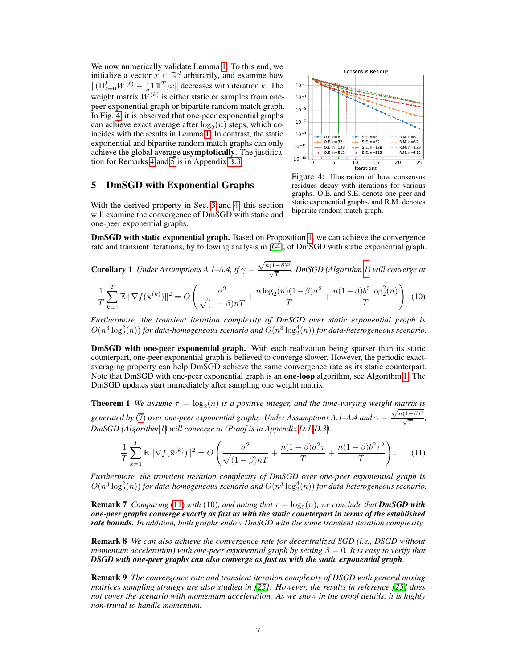We now numerically validate Lemma 1. To this end, we initialize a vector  $x \in \mathbb{R}^d$  arbitrarily, and examine how  $\|(\Pi_{\ell=0}^k W^{(\ell)} - \frac{1}{n} \mathbb{1} \mathbb{1}^T)x\|$  decreases with iteration k. The weight matrix  $W^{(k)}$  is either static or samples from onepeer exponential graph or bipartite random match graph. In Fig. 4, it is observed that one-peer exponential graphs can achieve exact average after  $log_2(n)$  steps, which coincides with the results in Lemma 1. In contrast, the static exponential and bipartite random match graphs can only achieve the global average asymptotically. The justification for Remarks 4 and 5 is in Appendix B.3.

## 5 DmSGD with Exponential Graphs

With the derived property in Sec. 3 and 4, this section will examine the convergence of DmSGD with static and one-peer exponential graphs.



Figure 4: Illustration of how consensus residues decay with iterations for various graphs. O.E. and S.E. denote one-peer and static exponential graphs, and R.M. denotes bipartite random match graph.

DmSGD with static exponential graph. Based on Proposition 1, we can achieve the convergence rate and transient iterations, by following analysis in [64], of DmSGD with static exponential graph.

**Corollary 1** Under Assumptions A.1–A.4, if 
$$
\gamma = \frac{\sqrt{n(1-\beta)^3}}{\sqrt{T}}
$$
, *DmSGD* (Algorithm 1) will converge at

$$
\frac{1}{T} \sum_{k=1}^{T} \mathbb{E} \|\nabla f(\bar{\mathbf{x}}^{(k)})\|^2 = O\left(\frac{\sigma^2}{\sqrt{(1-\beta)nT}} + \frac{n\log_2(n)(1-\beta)\sigma^2}{T} + \frac{n(1-\beta)b^2\log_2^2(n)}{T}\right)
$$
(10)

*Furthermore, the transient iteration complexity of DmSGD over static exponential graph is*  $O(n^3 \log_2^2(n))$  for data-homogeneous scenario and  $O(n^3 \log_2^4(n))$  for data-heterogeneous scenario.

DmSGD with one-peer exponential graph. With each realization being sparser than its static counterpart, one-peer exponential graph is believed to converge slower. However, the periodic exactaveraging property can help DmSGD achieve the same convergence rate as its static counterpart. Note that DmSGD with one-peer exponential graph is an **one-loop** algorithm, see Algorithm 1. The DmSGD updates start immediately after sampling one weight matrix.

**Theorem 1** We assume  $\tau = \log_2(n)$  is a positive integer, and the time-varying weight matrix is *generated by* (7) *over one-peer exponential graphs. Under Assumptions A.1–A.4 and*  $\gamma = \frac{\sqrt{n(1-\beta)^3}}{\sqrt{T}}$ , *DmSGD (Algorithm 1) will converge at (Proof is in Appendix D.1-D.3).*

$$
\frac{1}{T} \sum_{k=1}^{T} \mathbb{E} \|\nabla f(\bar{\mathbf{x}}^{(k)})\|^2 = O\left(\frac{\sigma^2}{\sqrt{(1-\beta)nT}} + \frac{n(1-\beta)\sigma^2\tau}{T} + \frac{n(1-\beta)b^2\tau^2}{T}\right). \tag{11}
$$

*Furthermore, the transient iteration complexity of DmSGD over one-peer exponential graph is*  $O(n^3\log_2^2(n))$  for data-homogeneous scenario and  $O(n^3\log_2^4(n))$  for data-heterogeneous scenario.

**Remark 7** *Comparing* (11) *with* (10), and noting that  $\tau = \log_2(n)$ , we conclude that **DmSGD with** *one-peer graphs converge exactly as fast as with the static counterpart in terms of the established rate bounds. In addition, both graphs endow DmSGD with the same transient iteration complexity.*

Remark 8 *We can also achieve the convergence rate for decentralized SGD (i.e., DSGD without momentum acceleration) with one-peer exponential graph by setting*  $\beta = 0$ *. It is easy to verify that DSGD with one-peer graphs can also converge as fast as with the static exponential graph.*

Remark 9 *The convergence rate and transient iteration complexity of DSGD with general mixing matrices sampling strategy are also studied in [25]. However, the results in reference [25] does not cover the scenario with momentum acceleration. As we show in the proof details, it is highly non-trivial to handle momentum.*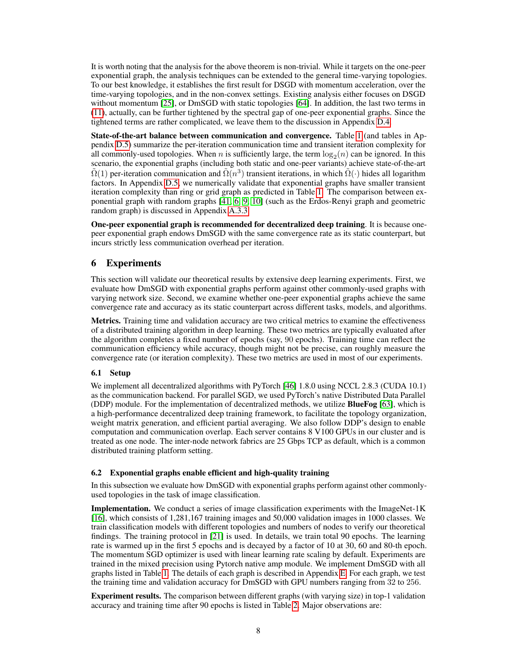It is worth noting that the analysis for the above theorem is non-trivial. While it targets on the one-peer exponential graph, the analysis techniques can be extended to the general time-varying topologies. To our best knowledge, it establishes the first result for DSGD with momentum acceleration, over the time-varying topologies, and in the non-convex settings. Existing analysis either focuses on DSGD without momentum [25], or DmSGD with static topologies [64]. In addition, the last two terms in (11), actually, can be further tightened by the spectral gap of one-peer exponential graphs. Since the tightened terms are rather complicated, we leave them to the discussion in Appendix D.4.

State-of-the-art balance between communication and convergence. Table 1 (and tables in Appendix D.5) summarize the per-iteration communication time and transient iteration complexity for all commonly-used topologies. When *n* is sufficiently large, the term  $\log_2(n)$  can be ignored. In this scenario, the exponential graphs (including both static and one-peer variants) achieve state-of-the-art  $\tilde{\Omega}(1)$  per-iteration communication and  $\tilde{\Omega}(n^3)$  transient iterations, in which  $\tilde{\Omega}(\cdot)$  hides all logarithm factors. In Appendix D.5, we numerically validate that exponential graphs have smaller transient iteration complexity than ring or grid graph as predicted in Table 1. The comparison between exponential graph with random graphs [41, 6, 9, 10] (such as the Erdos-Renyi graph and geometric random graph) is discussed in Appendix A.3.3.

One-peer exponential graph is recommended for decentralized deep training. It is because onepeer exponential graph endows DmSGD with the same convergence rate as its static counterpart, but incurs strictly less communication overhead per iteration.

## 6 Experiments

This section will validate our theoretical results by extensive deep learning experiments. First, we evaluate how DmSGD with exponential graphs perform against other commonly-used graphs with varying network size. Second, we examine whether one-peer exponential graphs achieve the same convergence rate and accuracy as its static counterpart across different tasks, models, and algorithms.

Metrics. Training time and validation accuracy are two critical metrics to examine the effectiveness of a distributed training algorithm in deep learning. These two metrics are typically evaluated after the algorithm completes a fixed number of epochs (say, 90 epochs). Training time can reflect the communication efficiency while accuracy, though might not be precise, can roughly measure the convergence rate (or iteration complexity). These two metrics are used in most of our experiments.

### 6.1 Setup

We implement all decentralized algorithms with PyTorch [46] 1.8.0 using NCCL 2.8.3 (CUDA 10.1) as the communication backend. For parallel SGD, we used PyTorch's native Distributed Data Parallel (DDP) module. For the implementation of decentralized methods, we utilize BlueFog [63], which is a high-performance decentralized deep training framework, to facilitate the topology organization, weight matrix generation, and efficient partial averaging. We also follow DDP's design to enable computation and communication overlap. Each server contains 8 V100 GPUs in our cluster and is treated as one node. The inter-node network fabrics are 25 Gbps TCP as default, which is a common distributed training platform setting.

### 6.2 Exponential graphs enable efficient and high-quality training

In this subsection we evaluate how DmSGD with exponential graphs perform against other commonlyused topologies in the task of image classification.

Implementation. We conduct a series of image classification experiments with the ImageNet-1K [16], which consists of 1,281,167 training images and 50,000 validation images in 1000 classes. We train classification models with different topologies and numbers of nodes to verify our theoretical findings. The training protocol in [21] is used. In details, we train total 90 epochs. The learning rate is warmed up in the first 5 epochs and is decayed by a factor of 10 at 30, 60 and 80-th epoch. The momentum SGD optimizer is used with linear learning rate scaling by default. Experiments are trained in the mixed precision using Pytorch native amp module. We implement DmSGD with all graphs listed in Table 1. The details of each graph is described in Appendix E. For each graph, we test the training time and validation accuracy for DmSGD with GPU numbers ranging from 32 to 256.

Experiment results. The comparison between different graphs (with varying size) in top-1 validation accuracy and training time after 90 epochs is listed in Table 2. Major observations are: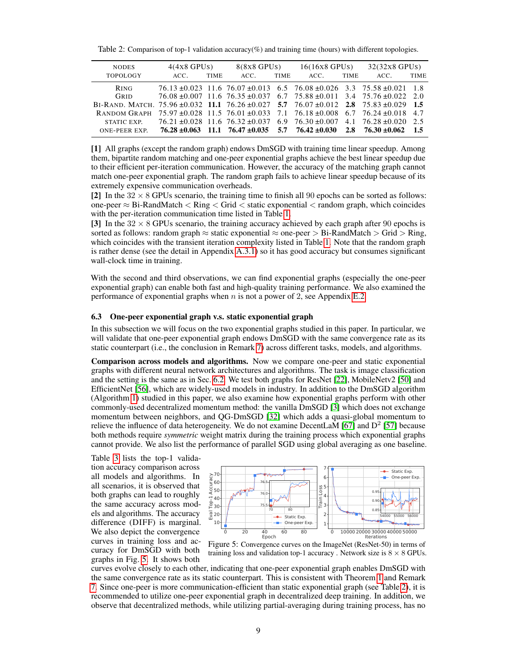Table 2: Comparison of top-1 validation accuracy(%) and training time (hours) with different topologies.

| <b>NODES</b>                                                                                             | $4(4x8$ GPUs)                                                                            |             | $8(8x8$ GPUs) |             | $16(16x8$ GPUs) |             | 32(32x8 GPUs)                                                                            |             |
|----------------------------------------------------------------------------------------------------------|------------------------------------------------------------------------------------------|-------------|---------------|-------------|-----------------|-------------|------------------------------------------------------------------------------------------|-------------|
| TOPOLOGY                                                                                                 | ACC.                                                                                     | <b>TIME</b> | ACC.          | <b>TIME</b> | ACC.            | <b>TIME</b> | ACC.                                                                                     | <b>TIME</b> |
| <b>RING</b>                                                                                              |                                                                                          |             |               |             |                 |             | $76.13 \pm 0.023$ 11.6 $76.07 \pm 0.013$ 6.5 $76.08 \pm 0.026$ 3.3 $75.58 \pm 0.021$ 1.8 |             |
| GRID                                                                                                     |                                                                                          |             |               |             |                 |             | $76.08 \pm 0.007$ 11.6 $76.35 \pm 0.037$ 6.7 $75.88 \pm 0.011$ 3.4 $75.76 \pm 0.022$ 2.0 |             |
| BI-RAND, MATCH, 75.96 $\pm 0.032$ 11.1 76.26 $\pm 0.027$ 5.7 76.07 $\pm 0.012$ 2.8 75.83 $\pm 0.029$ 1.5 |                                                                                          |             |               |             |                 |             |                                                                                          |             |
| RANDOM GRAPH                                                                                             | $75.97 \pm 0.028$ 11.5 $76.01 \pm 0.033$ 7.1 $76.18 \pm 0.008$ 6.7 $76.24 \pm 0.018$ 4.7 |             |               |             |                 |             |                                                                                          |             |
| STATIC EXP.                                                                                              |                                                                                          |             |               |             |                 |             | $76.21 \pm 0.028$ 11.6 $76.32 \pm 0.037$ 6.9 $76.30 \pm 0.007$ 4.1 $76.28 \pm 0.020$ 2.5 |             |
| ONE-PEER EXP.                                                                                            | $76.28 \pm 0.063$ 11.1 $76.47 \pm 0.035$ 5.7 $76.42 \pm 0.030$                           |             |               |             |                 |             | $2.8$ $76.30 + 0.062$                                                                    | $-1.5$      |

[1] All graphs (except the random graph) endows DmSGD with training time linear speedup. Among them, bipartite random matching and one-peer exponential graphs achieve the best linear speedup due to their efficient per-iteration communication. However, the accuracy of the matching graph cannot match one-peer exponential graph. The random graph fails to achieve linear speedup because of its extremely expensive communication overheads.

[2] In the  $32 \times 8$  GPUs scenario, the training time to finish all 90 epochs can be sorted as follows: one-peer ≈ Bi-RandMatch < Ring < Grid < static exponential < random graph, which coincides with the per-iteration communication time listed in Table 1.

[3] In the  $32 \times 8$  GPUs scenario, the training accuracy achieved by each graph after 90 epochs is sorted as follows: random graph  $\approx$  static exponential  $\approx$  one-peer  $>$  Bi-RandMatch  $>$  Grid  $>$  Ring, which coincides with the transient iteration complexity listed in Table 1. Note that the random graph is rather dense (see the detail in Appendix A.3.1) so it has good accuracy but consumes significant wall-clock time in training.

With the second and third observations, we can find exponential graphs (especially the one-peer exponential graph) can enable both fast and high-quality training performance. We also examined the performance of exponential graphs when  $n$  is not a power of 2, see Appendix E.2.

### 6.3 One-peer exponential graph v.s. static exponential graph

In this subsection we will focus on the two exponential graphs studied in this paper. In particular, we will validate that one-peer exponential graph endows DmSGD with the same convergence rate as its static counterpart (i.e., the conclusion in Remark 7) across different tasks, models, and algorithms.

Comparison across models and algorithms. Now we compare one-peer and static exponential graphs with different neural network architectures and algorithms. The task is image classification and the setting is the same as in Sec. 6.2. We test both graphs for ResNet [22], MobileNetv2 [50] and EfficientNet [56], which are widely-used models in industry. In addition to the DmSGD algorithm (Algorithm 1) studied in this paper, we also examine how exponential graphs perform with other commonly-used decentralized momentum method: the vanilla DmSGD [3] which does not exchange momentum between neighbors, and QG-DmSGD [32] which adds a quasi-global momentum to relieve the influence of data heterogeneity. We do not examine DecentLaM [67] and  $D^2$  [57] because both methods require *symmetric* weight matrix during the training process which exponential graphs cannot provide. We also list the performance of parallel SGD using global averaging as one baseline.

Table 3 lists the top-1 validation accuracy comparison across all models and algorithms. In all scenarios, it is observed that both graphs can lead to roughly the same accuracy across models and algorithms. The accuracy difference (DIFF) is marginal. We also depict the convergence curves in training loss and accuracy for DmSGD with both graphs in Fig. 5. It shows both



Figure 5: Convergence curves on the ImageNet (ResNet-50) in terms of training loss and validation top-1 accuracy . Network size is  $8 \times 8$  GPUs.

curves evolve closely to each other, indicating that one-peer exponential graph enables DmSGD with the same convergence rate as its static counterpart. This is consistent with Theorem 1 and Remark 7. Since one-peer is more communication-efficient than static exponential graph (see Table 2), it is recommended to utilize one-peer exponential graph in decentralized deep training. In addition, we observe that decentralized methods, while utilizing partial-averaging during training process, has no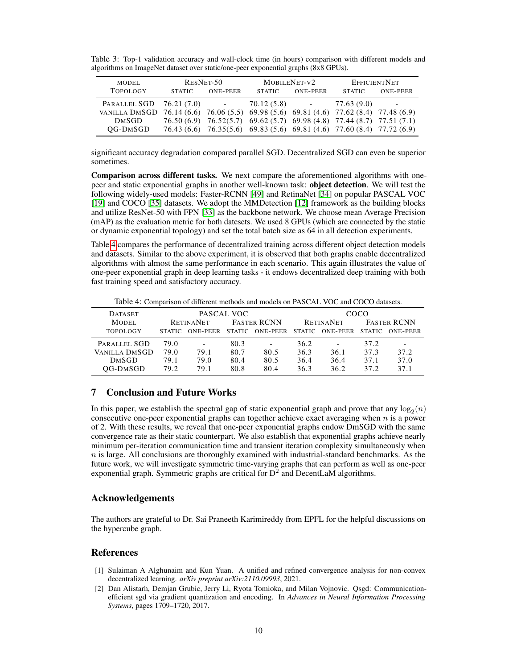Table 3: Top-1 validation accuracy and wall-clock time (in hours) comparison with different models and algorithms on ImageNet dataset over static/one-peer exponential graphs (8x8 GPUs).

| MODEL                                                                                 |               | RESNET-50                                                         |                | MOBILENET-V2    | <b>EFFICIENTNET</b>                                                    |                          |  |
|---------------------------------------------------------------------------------------|---------------|-------------------------------------------------------------------|----------------|-----------------|------------------------------------------------------------------------|--------------------------|--|
| <b>TOPOLOGY</b>                                                                       | <b>STATIC</b> | <b>ONE-PEER</b>                                                   | <b>STATIC</b>  | <b>ONE-PEER</b> | <b>STATIC</b>                                                          | <b>ONE-PEER</b>          |  |
| PARALLEL SGD 76.21 (7.0)                                                              |               | $\mathcal{L}(\mathcal{L})$ , and $\mathcal{L}(\mathcal{L})$ , and | $70.12(5.8)$ - |                 | 77.63 (9.0)                                                            | $\overline{\phantom{a}}$ |  |
| VANILLA DMSGD 76.14 (6.6) 76.06 (5.5) 69.98 (5.6) 69.81 (4.6) 77.62 (8.4) 77.48 (6.9) |               |                                                                   |                |                 |                                                                        |                          |  |
| <b>DMSGD</b>                                                                          |               |                                                                   |                |                 | 76.50 (6.9) 76.52(5.7) 69.62 (5.7) 69.98 (4.8) 77.44 (8.7) 77.51 (7.1) |                          |  |
| OG-DMSGD                                                                              |               |                                                                   |                |                 | 76.43 (6.6) 76.35(5.6) 69.83 (5.6) 69.81 (4.6) 77.60 (8.4) 77.72 (6.9) |                          |  |

significant accuracy degradation compared parallel SGD. Decentralized SGD can even be superior sometimes.

Comparison across different tasks. We next compare the aforementioned algorithms with onepeer and static exponential graphs in another well-known task: object detection. We will test the following widely-used models: Faster-RCNN [49] and RetinaNet [34] on popular PASCAL VOC [19] and COCO [35] datasets. We adopt the MMDetection [12] framework as the building blocks and utilize ResNet-50 with FPN [33] as the backbone network. We choose mean Average Precision (mAP) as the evaluation metric for both datesets. We used 8 GPUs (which are connected by the static or dynamic exponential topology) and set the total batch size as 64 in all detection experiments.

Table 4 compares the performance of decentralized training across different object detection models and datasets. Similar to the above experiment, it is observed that both graphs enable decentralized algorithms with almost the same performance in each scenario. This again illustrates the value of one-peer exponential graph in deep learning tasks - it endows decentralized deep training with both fast training speed and satisfactory accuracy.

Table 4: Comparison of different methods and models on PASCAL VOC and COCO datasets.

| <b>DATASET</b>  | PASCAL VOC       |                          |                    |                          | COCO             |                          |                    |                          |  |
|-----------------|------------------|--------------------------|--------------------|--------------------------|------------------|--------------------------|--------------------|--------------------------|--|
| MODEL.          | <b>RETINANET</b> |                          | <b>FASTER RCNN</b> |                          | <b>RETINANET</b> |                          | <b>FASTER RCNN</b> |                          |  |
| <b>TOPOLOGY</b> | <b>STATIC</b>    | ONE-PEER STATIC          |                    | ONE-PEER                 | <b>STATIC</b>    | ONE-PEER                 | <b>STATIC</b>      | ONE-PEER                 |  |
| PARALLEL SGD    | 79.0             | $\overline{\phantom{a}}$ | 80.3               | $\overline{\phantom{a}}$ | 36.2             | $\overline{\phantom{a}}$ | 37.2               | $\overline{\phantom{a}}$ |  |
| VANILLA DMSGD   | 79.0             | 79.1                     | 80.7               | 80.5                     | 36.3             | 36.1                     | 37.3               | 37.2                     |  |
| <b>DMSGD</b>    | 79.1             | 79.0                     | 80.4               | 80.5                     | 36.4             | 36.4                     | 37.1               | 37.0                     |  |
| OG-DMSGD        | 79.2             | 79.1                     | 80.8               | 80.4                     | 36.3             | 36.2                     | 37.2               | 371                      |  |

### 7 Conclusion and Future Works

In this paper, we establish the spectral gap of static exponential graph and prove that any  $\log_2(n)$ consecutive one-peer exponential graphs can together achieve exact averaging when  $n$  is a power of 2. With these results, we reveal that one-peer exponential graphs endow DmSGD with the same convergence rate as their static counterpart. We also establish that exponential graphs achieve nearly minimum per-iteration communication time and transient iteration complexity simultaneously when  $n$  is large. All conclusions are thoroughly examined with industrial-standard benchmarks. As the future work, we will investigate symmetric time-varying graphs that can perform as well as one-peer exponential graph. Symmetric graphs are critical for  $D^2$  and DecentLaM algorithms.

### Acknowledgements

The authors are grateful to Dr. Sai Praneeth Karimireddy from EPFL for the helpful discussions on the hypercube graph.

### References

- [1] Sulaiman A Alghunaim and Kun Yuan. A unified and refined convergence analysis for non-convex decentralized learning. *arXiv preprint arXiv:2110.09993*, 2021.
- [2] Dan Alistarh, Demjan Grubic, Jerry Li, Ryota Tomioka, and Milan Vojnovic. Qsgd: Communicationefficient sgd via gradient quantization and encoding. In *Advances in Neural Information Processing Systems*, pages 1709–1720, 2017.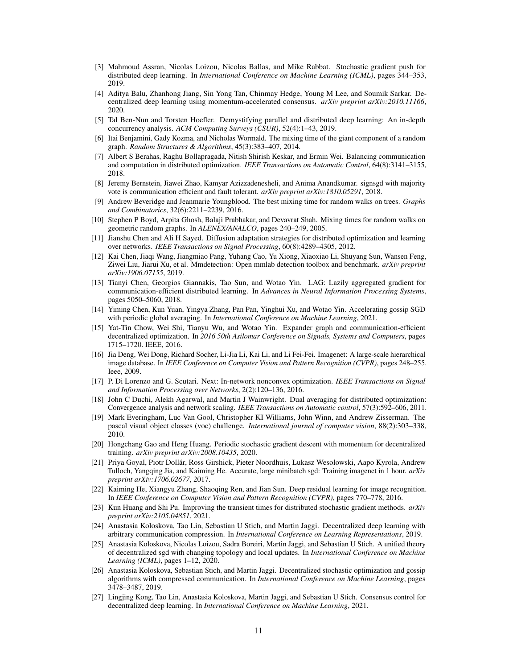- [3] Mahmoud Assran, Nicolas Loizou, Nicolas Ballas, and Mike Rabbat. Stochastic gradient push for distributed deep learning. In *International Conference on Machine Learning (ICML)*, pages 344–353, 2019.
- [4] Aditya Balu, Zhanhong Jiang, Sin Yong Tan, Chinmay Hedge, Young M Lee, and Soumik Sarkar. Decentralized deep learning using momentum-accelerated consensus. *arXiv preprint arXiv:2010.11166*, 2020.
- [5] Tal Ben-Nun and Torsten Hoefler. Demystifying parallel and distributed deep learning: An in-depth concurrency analysis. *ACM Computing Surveys (CSUR)*, 52(4):1–43, 2019.
- [6] Itai Benjamini, Gady Kozma, and Nicholas Wormald. The mixing time of the giant component of a random graph. *Random Structures & Algorithms*, 45(3):383–407, 2014.
- [7] Albert S Berahas, Raghu Bollapragada, Nitish Shirish Keskar, and Ermin Wei. Balancing communication and computation in distributed optimization. *IEEE Transactions on Automatic Control*, 64(8):3141–3155, 2018.
- [8] Jeremy Bernstein, Jiawei Zhao, Kamyar Azizzadenesheli, and Anima Anandkumar. signsgd with majority vote is communication efficient and fault tolerant. *arXiv preprint arXiv:1810.05291*, 2018.
- [9] Andrew Beveridge and Jeanmarie Youngblood. The best mixing time for random walks on trees. *Graphs and Combinatorics*, 32(6):2211–2239, 2016.
- [10] Stephen P Boyd, Arpita Ghosh, Balaji Prabhakar, and Devavrat Shah. Mixing times for random walks on geometric random graphs. In *ALENEX/ANALCO*, pages 240–249, 2005.
- [11] Jianshu Chen and Ali H Sayed. Diffusion adaptation strategies for distributed optimization and learning over networks. *IEEE Transactions on Signal Processing*, 60(8):4289–4305, 2012.
- [12] Kai Chen, Jiaqi Wang, Jiangmiao Pang, Yuhang Cao, Yu Xiong, Xiaoxiao Li, Shuyang Sun, Wansen Feng, Ziwei Liu, Jiarui Xu, et al. Mmdetection: Open mmlab detection toolbox and benchmark. *arXiv preprint arXiv:1906.07155*, 2019.
- [13] Tianyi Chen, Georgios Giannakis, Tao Sun, and Wotao Yin. LAG: Lazily aggregated gradient for communication-efficient distributed learning. In *Advances in Neural Information Processing Systems*, pages 5050–5060, 2018.
- [14] Yiming Chen, Kun Yuan, Yingya Zhang, Pan Pan, Yinghui Xu, and Wotao Yin. Accelerating gossip SGD with periodic global averaging. In *International Conference on Machine Learning*, 2021.
- [15] Yat-Tin Chow, Wei Shi, Tianyu Wu, and Wotao Yin. Expander graph and communication-efficient decentralized optimization. In *2016 50th Asilomar Conference on Signals, Systems and Computers*, pages 1715–1720. IEEE, 2016.
- [16] Jia Deng, Wei Dong, Richard Socher, Li-Jia Li, Kai Li, and Li Fei-Fei. Imagenet: A large-scale hierarchical image database. In *IEEE Conference on Computer Vision and Pattern Recognition (CVPR)*, pages 248–255. Ieee, 2009.
- [17] P. Di Lorenzo and G. Scutari. Next: In-network nonconvex optimization. *IEEE Transactions on Signal and Information Processing over Networks*, 2(2):120–136, 2016.
- [18] John C Duchi, Alekh Agarwal, and Martin J Wainwright. Dual averaging for distributed optimization: Convergence analysis and network scaling. *IEEE Transactions on Automatic control*, 57(3):592–606, 2011.
- [19] Mark Everingham, Luc Van Gool, Christopher KI Williams, John Winn, and Andrew Zisserman. The pascal visual object classes (voc) challenge. *International journal of computer vision*, 88(2):303–338, 2010.
- [20] Hongchang Gao and Heng Huang. Periodic stochastic gradient descent with momentum for decentralized training. *arXiv preprint arXiv:2008.10435*, 2020.
- [21] Priya Goyal, Piotr Dollár, Ross Girshick, Pieter Noordhuis, Lukasz Wesolowski, Aapo Kyrola, Andrew Tulloch, Yangqing Jia, and Kaiming He. Accurate, large minibatch sgd: Training imagenet in 1 hour. *arXiv preprint arXiv:1706.02677*, 2017.
- [22] Kaiming He, Xiangyu Zhang, Shaoqing Ren, and Jian Sun. Deep residual learning for image recognition. In *IEEE Conference on Computer Vision and Pattern Recognition (CVPR)*, pages 770–778, 2016.
- [23] Kun Huang and Shi Pu. Improving the transient times for distributed stochastic gradient methods. *arXiv preprint arXiv:2105.04851*, 2021.
- [24] Anastasia Koloskova, Tao Lin, Sebastian U Stich, and Martin Jaggi. Decentralized deep learning with arbitrary communication compression. In *International Conference on Learning Representations*, 2019.
- [25] Anastasia Koloskova, Nicolas Loizou, Sadra Boreiri, Martin Jaggi, and Sebastian U Stich. A unified theory of decentralized sgd with changing topology and local updates. In *International Conference on Machine Learning (ICML)*, pages 1–12, 2020.
- [26] Anastasia Koloskova, Sebastian Stich, and Martin Jaggi. Decentralized stochastic optimization and gossip algorithms with compressed communication. In *International Conference on Machine Learning*, pages 3478–3487, 2019.
- [27] Lingjing Kong, Tao Lin, Anastasia Koloskova, Martin Jaggi, and Sebastian U Stich. Consensus control for decentralized deep learning. In *International Conference on Machine Learning*, 2021.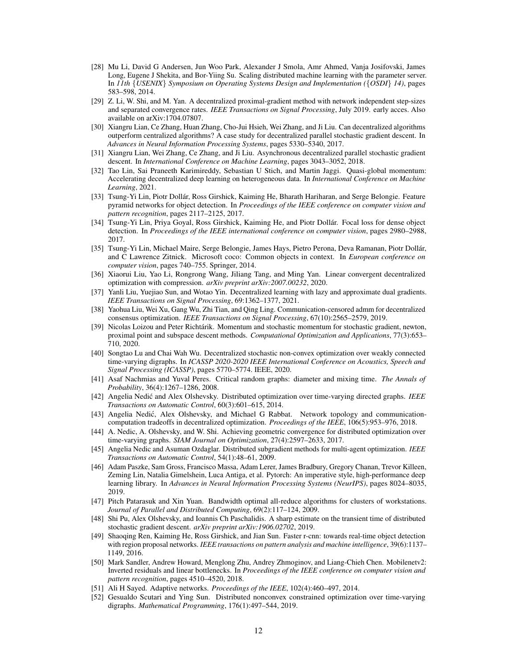- [28] Mu Li, David G Andersen, Jun Woo Park, Alexander J Smola, Amr Ahmed, Vanja Josifovski, James Long, Eugene J Shekita, and Bor-Yiing Su. Scaling distributed machine learning with the parameter server. In *11th* {*USENIX*} *Symposium on Operating Systems Design and Implementation (*{*OSDI*} *14)*, pages 583–598, 2014.
- [29] Z. Li, W. Shi, and M. Yan. A decentralized proximal-gradient method with network independent step-sizes and separated convergence rates. *IEEE Transactions on Signal Processing*, July 2019. early acces. Also available on arXiv:1704.07807.
- [30] Xiangru Lian, Ce Zhang, Huan Zhang, Cho-Jui Hsieh, Wei Zhang, and Ji Liu. Can decentralized algorithms outperform centralized algorithms? A case study for decentralized parallel stochastic gradient descent. In *Advances in Neural Information Processing Systems*, pages 5330–5340, 2017.
- [31] Xiangru Lian, Wei Zhang, Ce Zhang, and Ji Liu. Asynchronous decentralized parallel stochastic gradient descent. In *International Conference on Machine Learning*, pages 3043–3052, 2018.
- [32] Tao Lin, Sai Praneeth Karimireddy, Sebastian U Stich, and Martin Jaggi. Quasi-global momentum: Accelerating decentralized deep learning on heterogeneous data. In *International Conference on Machine Learning*, 2021.
- [33] Tsung-Yi Lin, Piotr Dollár, Ross Girshick, Kaiming He, Bharath Hariharan, and Serge Belongie. Feature pyramid networks for object detection. In *Proceedings of the IEEE conference on computer vision and pattern recognition*, pages 2117–2125, 2017.
- [34] Tsung-Yi Lin, Priya Goyal, Ross Girshick, Kaiming He, and Piotr Dollár. Focal loss for dense object detection. In *Proceedings of the IEEE international conference on computer vision*, pages 2980–2988, 2017.
- [35] Tsung-Yi Lin, Michael Maire, Serge Belongie, James Hays, Pietro Perona, Deva Ramanan, Piotr Dollár, and C Lawrence Zitnick. Microsoft coco: Common objects in context. In *European conference on computer vision*, pages 740–755. Springer, 2014.
- [36] Xiaorui Liu, Yao Li, Rongrong Wang, Jiliang Tang, and Ming Yan. Linear convergent decentralized optimization with compression. *arXiv preprint arXiv:2007.00232*, 2020.
- [37] Yanli Liu, Yuejiao Sun, and Wotao Yin. Decentralized learning with lazy and approximate dual gradients. *IEEE Transactions on Signal Processing*, 69:1362–1377, 2021.
- [38] Yaohua Liu, Wei Xu, Gang Wu, Zhi Tian, and Qing Ling. Communication-censored admm for decentralized consensus optimization. *IEEE Transactions on Signal Processing*, 67(10):2565–2579, 2019.
- [39] Nicolas Loizou and Peter Richtárik. Momentum and stochastic momentum for stochastic gradient, newton, proximal point and subspace descent methods. *Computational Optimization and Applications*, 77(3):653– 710, 2020.
- [40] Songtao Lu and Chai Wah Wu. Decentralized stochastic non-convex optimization over weakly connected time-varying digraphs. In *ICASSP 2020-2020 IEEE International Conference on Acoustics, Speech and Signal Processing (ICASSP)*, pages 5770–5774. IEEE, 2020.
- [41] Asaf Nachmias and Yuval Peres. Critical random graphs: diameter and mixing time. *The Annals of Probability*, 36(4):1267–1286, 2008.
- [42] Angelia Nedic and Alex Olshevsky. Distributed optimization over time-varying directed graphs. ´ *IEEE Transactions on Automatic Control*, 60(3):601–615, 2014.
- [43] Angelia Nedić, Alex Olshevsky, and Michael G Rabbat. Network topology and communicationcomputation tradeoffs in decentralized optimization. *Proceedings of the IEEE*, 106(5):953–976, 2018.
- [44] A. Nedic, A. Olshevsky, and W. Shi. Achieving geometric convergence for distributed optimization over time-varying graphs. *SIAM Journal on Optimization*, 27(4):2597–2633, 2017.
- [45] Angelia Nedic and Asuman Ozdaglar. Distributed subgradient methods for multi-agent optimization. *IEEE Transactions on Automatic Control*, 54(1):48–61, 2009.
- [46] Adam Paszke, Sam Gross, Francisco Massa, Adam Lerer, James Bradbury, Gregory Chanan, Trevor Killeen, Zeming Lin, Natalia Gimelshein, Luca Antiga, et al. Pytorch: An imperative style, high-performance deep learning library. In *Advances in Neural Information Processing Systems (NeurIPS)*, pages 8024–8035, 2019.
- [47] Pitch Patarasuk and Xin Yuan. Bandwidth optimal all-reduce algorithms for clusters of workstations. *Journal of Parallel and Distributed Computing*, 69(2):117–124, 2009.
- [48] Shi Pu, Alex Olshevsky, and Ioannis Ch Paschalidis. A sharp estimate on the transient time of distributed stochastic gradient descent. *arXiv preprint arXiv:1906.02702*, 2019.
- [49] Shaoqing Ren, Kaiming He, Ross Girshick, and Jian Sun. Faster r-cnn: towards real-time object detection with region proposal networks. *IEEE transactions on pattern analysis and machine intelligence*, 39(6):1137– 1149, 2016.
- [50] Mark Sandler, Andrew Howard, Menglong Zhu, Andrey Zhmoginov, and Liang-Chieh Chen. Mobilenetv2: Inverted residuals and linear bottlenecks. In *Proceedings of the IEEE conference on computer vision and pattern recognition*, pages 4510–4520, 2018.
- [51] Ali H Sayed. Adaptive networks. *Proceedings of the IEEE*, 102(4):460–497, 2014.
- [52] Gesualdo Scutari and Ying Sun. Distributed nonconvex constrained optimization over time-varying digraphs. *Mathematical Programming*, 176(1):497–544, 2019.